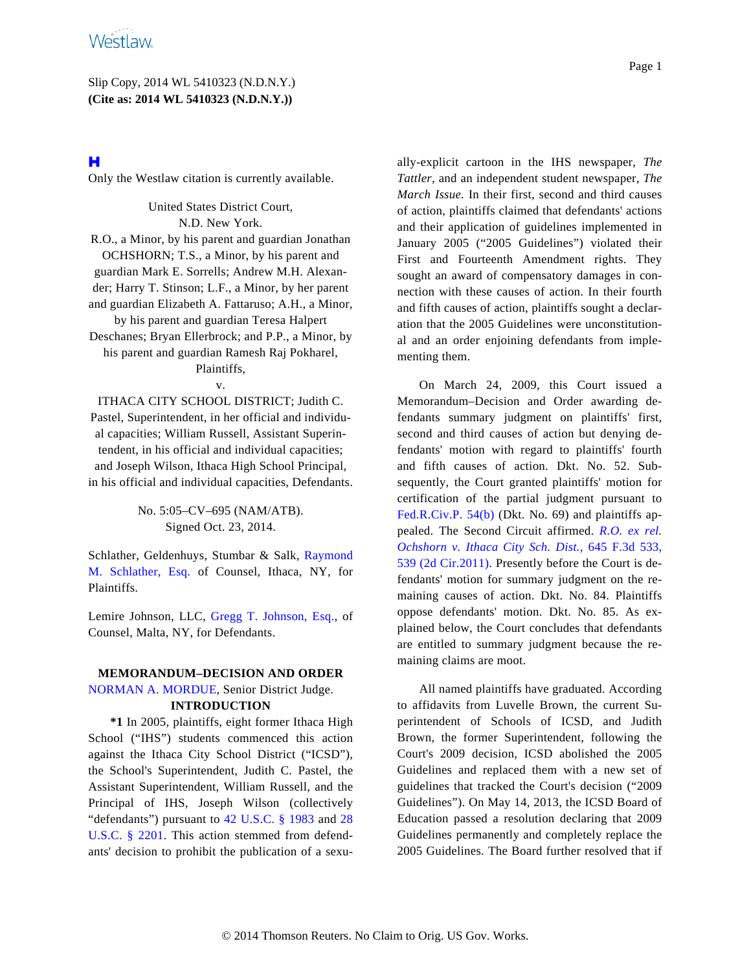Slip Copy, 2014 WL 5410323 (N.D.N.Y.) **(Cite as: 2014 WL 5410323 (N.D.N.Y.))**

# н

Only the Westlaw citation is currently available.

United States District Court, N.D. New York. R.O., a Minor, by his parent and guardian Jonathan OCHSHORN; T.S., a Minor, by his parent and guardian Mark E. Sorrells; Andrew M.H. Alexander; Harry T. Stinson; L.F., a Minor, by her parent and guardian Elizabeth A. Fattaruso; A.H., a Minor, by his parent and guardian Teresa Halpert Deschanes; Bryan Ellerbrock; and P.P., a Minor, by his parent and guardian Ramesh Raj Pokharel, Plaintiffs,

v.

ITHACA CITY SCHOOL DISTRICT; Judith C. Pastel, Superintendent, in her official and individual capacities; William Russell, Assistant Superintendent, in his official and individual capacities; and Joseph Wilson, Ithaca High School Principal, in his official and individual capacities, Defendants.

> No. 5:05–CV–695 (NAM/ATB). Signed Oct. 23, 2014.

Schlather, Geldenhuys, Stumbar & Salk, [Raymond](http://www.westlaw.com/Find/Default.wl?rs=dfa1.0&vr=2.0&DB=PROFILER-WLD&DocName=0147660601&FindType=h) [M. Schlather, Es](http://www.westlaw.com/Find/Default.wl?rs=dfa1.0&vr=2.0&DB=PROFILER-WLD&DocName=0147660601&FindType=h)q. of Counsel, Ithaca, NY, for Plaintiffs.

Lemire Johnson, LLC, [Gregg T. Johnson, Esq](http://www.westlaw.com/Find/Default.wl?rs=dfa1.0&vr=2.0&DB=PROFILER-WLD&DocName=0143602301&FindType=h)., of Counsel, Malta, NY, for Defendants.

## **MEMORANDUM–DECISION AND ORDER**

[NORMAN A. MORDUE](http://www.westlaw.com/Find/Default.wl?rs=dfa1.0&vr=2.0&DB=PROFILER-WLD&DocName=0150565401&FindType=h), Senior District Judge.

## **INTRODUCTION**

**\*1** In 2005, plaintiffs, eight former Ithaca High School ("IHS") students commenced this action against the Ithaca City School District ("ICSD"), the School's Superintendent, Judith C. Pastel, the Assistant Superintendent, William Russell, and the Principal of IHS, Joseph Wilson (collectively "defendants") pursuant to [42 U.S.C. § 1983](http://www.westlaw.com/Find/Default.wl?rs=dfa1.0&vr=2.0&DB=1000546&DocName=42USCAS1983&FindType=L) and [28](http://www.westlaw.com/Find/Default.wl?rs=dfa1.0&vr=2.0&DB=1000546&DocName=28USCAS2201&FindType=L) [U.S.C. § 220](http://www.westlaw.com/Find/Default.wl?rs=dfa1.0&vr=2.0&DB=1000546&DocName=28USCAS2201&FindType=L)1. This action stemmed from defendants' decision to prohibit the publication of a sexually-explicit cartoon in the IHS newspaper, *The Tattler,* and an independent student newspaper, *The March Issue.* In their first, second and third causes of action, plaintiffs claimed that defendants' actions and their application of guidelines implemented in January 2005 ("2005 Guidelines") violated their First and Fourteenth Amendment rights. They sought an award of compensatory damages in connection with these causes of action. In their fourth and fifth causes of action, plaintiffs sought a declaration that the 2005 Guidelines were unconstitutional and an order enjoining defendants from implementing them.

On March 24, 2009, this Court issued a Memorandum–Decision and Order awarding defendants summary judgment on plaintiffs' first, second and third causes of action but denying defendants' motion with regard to plaintiffs' fourth and fifth causes of action. Dkt. No. 52. Subsequently, the Court granted plaintiffs' motion for certification of the partial judgment pursuant to [Fed.R.Civ.P. 54\(b\)](http://www.westlaw.com/Find/Default.wl?rs=dfa1.0&vr=2.0&DB=1000600&DocName=USFRCPR54&FindType=L&ReferencePositionType=T&ReferencePosition=SP_a83b000018c76) (Dkt. No. 69) and plaintiffs appealed. The Second Circuit affirmed. *[R.O. ex rel](http://www.westlaw.com/Find/Default.wl?rs=dfa1.0&vr=2.0&DB=0000506&FindType=Y&ReferencePositionType=S&SerialNum=2025311248&ReferencePosition=539). [Ochshorn v. Ithaca City Sch. Dis](http://www.westlaw.com/Find/Default.wl?rs=dfa1.0&vr=2.0&DB=0000506&FindType=Y&ReferencePositionType=S&SerialNum=2025311248&ReferencePosition=539)t.,* [645 F.3d 533](http://www.westlaw.com/Find/Default.wl?rs=dfa1.0&vr=2.0&DB=0000506&FindType=Y&ReferencePositionType=S&SerialNum=2025311248&ReferencePosition=539), [539 \(2d Cir.2011\)](http://www.westlaw.com/Find/Default.wl?rs=dfa1.0&vr=2.0&DB=0000506&FindType=Y&ReferencePositionType=S&SerialNum=2025311248&ReferencePosition=539). Presently before the Court is defendants' motion for summary judgment on the remaining causes of action. Dkt. No. 84. Plaintiffs oppose defendants' motion. Dkt. No. 85. As explained below, the Court concludes that defendants are entitled to summary judgment because the remaining claims are moot.

All named plaintiffs have graduated. According to affidavits from Luvelle Brown, the current Superintendent of Schools of ICSD, and Judith Brown, the former Superintendent, following the Court's 2009 decision, ICSD abolished the 2005 Guidelines and replaced them with a new set of guidelines that tracked the Court's decision ("2009 Guidelines"). On May 14, 2013, the ICSD Board of Education passed a resolution declaring that 2009 Guidelines permanently and completely replace the 2005 Guidelines. The Board further resolved that if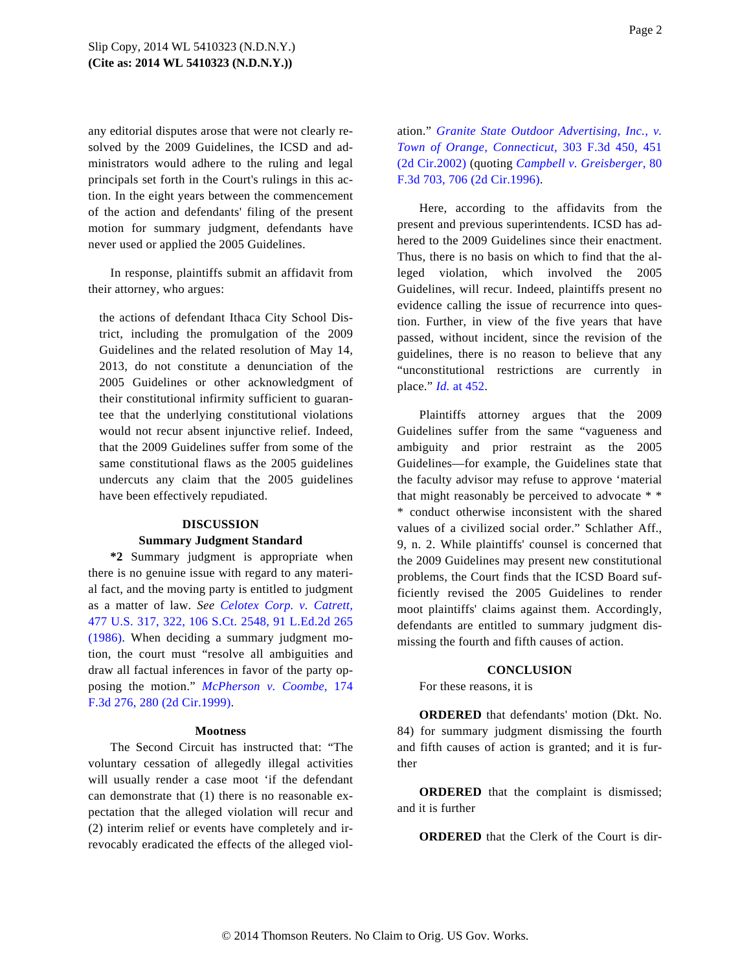any editorial disputes arose that were not clearly resolved by the 2009 Guidelines, the ICSD and administrators would adhere to the ruling and legal principals set forth in the Court's rulings in this action. In the eight years between the commencement of the action and defendants' filing of the present motion for summary judgment, defendants have never used or applied the 2005 Guidelines.

In response, plaintiffs submit an affidavit from their attorney, who argues:

the actions of defendant Ithaca City School District, including the promulgation of the 2009 Guidelines and the related resolution of May 14, 2013, do not constitute a denunciation of the 2005 Guidelines or other acknowledgment of their constitutional infirmity sufficient to guarantee that the underlying constitutional violations would not recur absent injunctive relief. Indeed, that the 2009 Guidelines suffer from some of the same constitutional flaws as the 2005 guidelines undercuts any claim that the 2005 guidelines have been effectively repudiated.

### **DISCUSSION**

#### **Summary Judgment Standard**

**\*2** Summary judgment is appropriate when there is no genuine issue with regard to any material fact, and the moving party is entitled to judgment as a matter of law. *See [Celotex Corp. v. Catrett](http://www.westlaw.com/Find/Default.wl?rs=dfa1.0&vr=2.0&DB=0000708&FindType=Y&SerialNum=1986132677),* [477 U.S. 317, 322, 106 S.Ct. 2548, 91 L.Ed.2d 265](http://www.westlaw.com/Find/Default.wl?rs=dfa1.0&vr=2.0&DB=0000708&FindType=Y&SerialNum=1986132677) [\(1986\).](http://www.westlaw.com/Find/Default.wl?rs=dfa1.0&vr=2.0&DB=0000708&FindType=Y&SerialNum=1986132677) When deciding a summary judgment motion, the court must "resolve all ambiguities and draw all factual inferences in favor of the party opposing the motion." *[McPherson v. Coombe,](http://www.westlaw.com/Find/Default.wl?rs=dfa1.0&vr=2.0&DB=0000506&FindType=Y&ReferencePositionType=S&SerialNum=1999106994&ReferencePosition=280)* 174 [F.3d 276, 280 \(2d Cir.1999\)](http://www.westlaw.com/Find/Default.wl?rs=dfa1.0&vr=2.0&DB=0000506&FindType=Y&ReferencePositionType=S&SerialNum=1999106994&ReferencePosition=280).

## **Mootness**

The Second Circuit has instructed that: "The voluntary cessation of allegedly illegal activities will usually render a case moot 'if the defendant can demonstrate that (1) there is no reasonable expectation that the alleged violation will recur and (2) interim relief or events have completely and irrevocably eradicated the effects of the alleged viol-

ation." *[Granite State Outdoor Advertising, Inc., v](http://www.westlaw.com/Find/Default.wl?rs=dfa1.0&vr=2.0&DB=0000506&FindType=Y&ReferencePositionType=S&SerialNum=2002585949&ReferencePosition=451). [Town of Orange, Connecticu](http://www.westlaw.com/Find/Default.wl?rs=dfa1.0&vr=2.0&DB=0000506&FindType=Y&ReferencePositionType=S&SerialNum=2002585949&ReferencePosition=451)t,* [303 F.3d 450, 45](http://www.westlaw.com/Find/Default.wl?rs=dfa1.0&vr=2.0&DB=0000506&FindType=Y&ReferencePositionType=S&SerialNum=2002585949&ReferencePosition=451)1 [\(2d Cir.2002\)](http://www.westlaw.com/Find/Default.wl?rs=dfa1.0&vr=2.0&DB=0000506&FindType=Y&ReferencePositionType=S&SerialNum=2002585949&ReferencePosition=451) (quoting *[Campbell v. Greisberger,](http://www.westlaw.com/Find/Default.wl?rs=dfa1.0&vr=2.0&DB=0000506&FindType=Y&ReferencePositionType=S&SerialNum=1996084815&ReferencePosition=706)* 80 [F.3d 703, 706 \(2d Cir.1996\)](http://www.westlaw.com/Find/Default.wl?rs=dfa1.0&vr=2.0&DB=0000506&FindType=Y&ReferencePositionType=S&SerialNum=1996084815&ReferencePosition=706).

Here, according to the affidavits from the present and previous superintendents. ICSD has adhered to the 2009 Guidelines since their enactment. Thus, there is no basis on which to find that the alleged violation, which involved the 2005 Guidelines, will recur. Indeed, plaintiffs present no evidence calling the issue of recurrence into question. Further, in view of the five years that have passed, without incident, since the revision of the guidelines, there is no reason to believe that any "unconstitutional restrictions are currently in place." *[Id](http://www.westlaw.com/Find/Default.wl?rs=dfa1.0&vr=2.0&DB=0000506&FindType=Y&ReferencePositionType=S&SerialNum=2002585949&ReferencePosition=452).* [at 452](http://www.westlaw.com/Find/Default.wl?rs=dfa1.0&vr=2.0&DB=0000506&FindType=Y&ReferencePositionType=S&SerialNum=2002585949&ReferencePosition=452).

Plaintiffs attorney argues that the 2009 Guidelines suffer from the same "vagueness and ambiguity and prior restraint as the 2005 Guidelines—for example, the Guidelines state that the faculty advisor may refuse to approve 'material that might reasonably be perceived to advocate \* \* \* conduct otherwise inconsistent with the shared values of a civilized social order." Schlather Aff., 9, n. 2. While plaintiffs' counsel is concerned that the 2009 Guidelines may present new constitutional problems, the Court finds that the ICSD Board sufficiently revised the 2005 Guidelines to render moot plaintiffs' claims against them. Accordingly, defendants are entitled to summary judgment dismissing the fourth and fifth causes of action.

## **CONCLUSION**

For these reasons, it is

**ORDERED** that defendants' motion (Dkt. No. 84) for summary judgment dismissing the fourth and fifth causes of action is granted; and it is further

**ORDERED** that the complaint is dismissed; and it is further

**ORDERED** that the Clerk of the Court is dir-